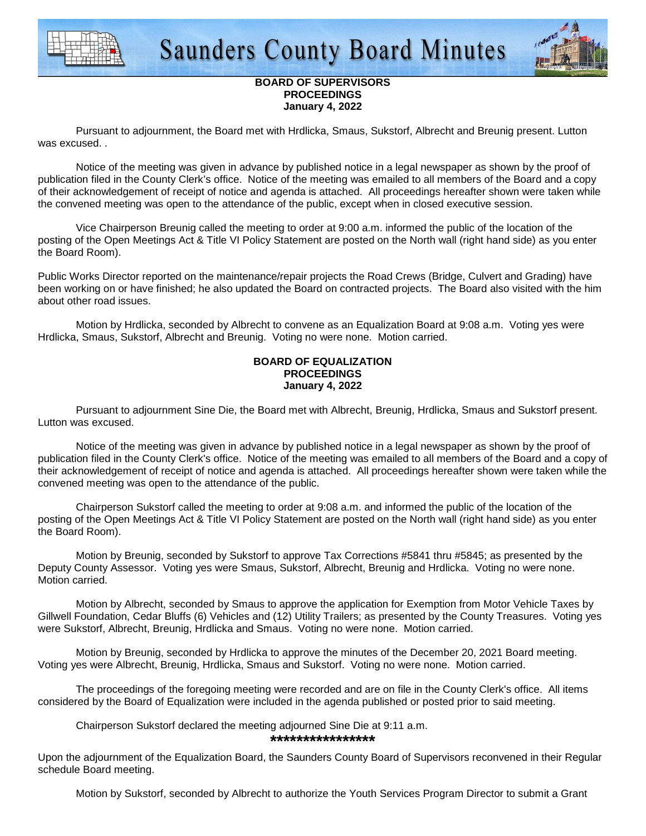



# **BOARD OF SUPERVISORS PROCEEDINGS January 4, 2022**

 Pursuant to adjournment, the Board met with Hrdlicka, Smaus, Sukstorf, Albrecht and Breunig present. Lutton was excused. .

 Notice of the meeting was given in advance by published notice in a legal newspaper as shown by the proof of publication filed in the County Clerk's office. Notice of the meeting was emailed to all members of the Board and a copy of their acknowledgement of receipt of notice and agenda is attached. All proceedings hereafter shown were taken while the convened meeting was open to the attendance of the public, except when in closed executive session.

 Vice Chairperson Breunig called the meeting to order at 9:00 a.m. informed the public of the location of the posting of the Open Meetings Act & Title VI Policy Statement are posted on the North wall (right hand side) as you enter the Board Room).

Public Works Director reported on the maintenance/repair projects the Road Crews (Bridge, Culvert and Grading) have been working on or have finished; he also updated the Board on contracted projects. The Board also visited with the him about other road issues.

 Motion by Hrdlicka, seconded by Albrecht to convene as an Equalization Board at 9:08 a.m. Voting yes were Hrdlicka, Smaus, Sukstorf, Albrecht and Breunig. Voting no were none. Motion carried.

# **BOARD OF EQUALIZATION PROCEEDINGS January 4, 2022**

 Pursuant to adjournment Sine Die, the Board met with Albrecht, Breunig, Hrdlicka, Smaus and Sukstorf present. Lutton was excused.

 Notice of the meeting was given in advance by published notice in a legal newspaper as shown by the proof of publication filed in the County Clerk's office. Notice of the meeting was emailed to all members of the Board and a copy of their acknowledgement of receipt of notice and agenda is attached. All proceedings hereafter shown were taken while the convened meeting was open to the attendance of the public.

 Chairperson Sukstorf called the meeting to order at 9:08 a.m. and informed the public of the location of the posting of the Open Meetings Act & Title VI Policy Statement are posted on the North wall (right hand side) as you enter the Board Room).

 Motion by Breunig, seconded by Sukstorf to approve Tax Corrections #5841 thru #5845; as presented by the Deputy County Assessor. Voting yes were Smaus, Sukstorf, Albrecht, Breunig and Hrdlicka. Voting no were none. Motion carried.

Motion by Albrecht, seconded by Smaus to approve the application for Exemption from Motor Vehicle Taxes by Gillwell Foundation, Cedar Bluffs (6) Vehicles and (12) Utility Trailers; as presented by the County Treasures. Voting yes were Sukstorf, Albrecht, Breunig, Hrdlicka and Smaus. Voting no were none. Motion carried.

 Motion by Breunig, seconded by Hrdlicka to approve the minutes of the December 20, 2021 Board meeting. Voting yes were Albrecht, Breunig, Hrdlicka, Smaus and Sukstorf. Voting no were none. Motion carried.

 The proceedings of the foregoing meeting were recorded and are on file in the County Clerk's office. All items considered by the Board of Equalization were included in the agenda published or posted prior to said meeting.

Chairperson Sukstorf declared the meeting adjourned Sine Die at 9:11 a.m.

**\*\*\*\*\*\*\*\*\*\*\*\*\*\*\*\***

Upon the adjournment of the Equalization Board, the Saunders County Board of Supervisors reconvened in their Regular schedule Board meeting.

Motion by Sukstorf, seconded by Albrecht to authorize the Youth Services Program Director to submit a Grant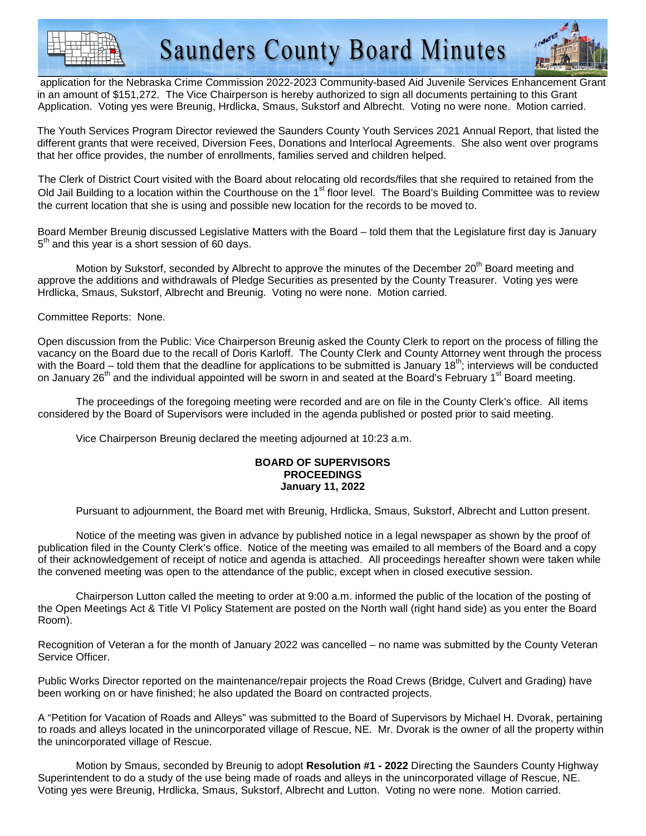**Saunders County Board Minutes** 



 application for the Nebraska Crime Commission 2022-2023 Community-based Aid Juvenile Services Enhancement Grant in an amount of \$151,272. The Vice Chairperson is hereby authorized to sign all documents pertaining to this Grant Application. Voting yes were Breunig, Hrdlicka, Smaus, Sukstorf and Albrecht. Voting no were none. Motion carried.

The Youth Services Program Director reviewed the Saunders County Youth Services 2021 Annual Report, that listed the different grants that were received, Diversion Fees, Donations and Interlocal Agreements. She also went over programs that her office provides, the number of enrollments, families served and children helped.

The Clerk of District Court visited with the Board about relocating old records/files that she required to retained from the Old Jail Building to a location within the Courthouse on the 1<sup>st</sup> floor level. The Board's Building Committee was to review the current location that she is using and possible new location for the records to be moved to.

Board Member Breunig discussed Legislative Matters with the Board – told them that the Legislature first day is January  $5<sup>th</sup>$  and this year is a short session of 60 days.

Motion by Sukstorf, seconded by Albrecht to approve the minutes of the December  $20<sup>th</sup>$  Board meeting and approve the additions and withdrawals of Pledge Securities as presented by the County Treasurer. Voting yes were Hrdlicka, Smaus, Sukstorf, Albrecht and Breunig. Voting no were none. Motion carried.

Committee Reports: None.

Open discussion from the Public: Vice Chairperson Breunig asked the County Clerk to report on the process of filling the vacancy on the Board due to the recall of Doris Karloff. The County Clerk and County Attorney went through the process with the Board – told them that the deadline for applications to be submitted is January  $18<sup>th</sup>$ ; interviews will be conducted on January 26<sup>th</sup> and the individual appointed will be sworn in and seated at the Board's February 1<sup>st</sup> Board meeting.

 The proceedings of the foregoing meeting were recorded and are on file in the County Clerk's office. All items considered by the Board of Supervisors were included in the agenda published or posted prior to said meeting.

Vice Chairperson Breunig declared the meeting adjourned at 10:23 a.m.

#### **BOARD OF SUPERVISORS PROCEEDINGS January 11, 2022**

Pursuant to adjournment, the Board met with Breunig, Hrdlicka, Smaus, Sukstorf, Albrecht and Lutton present.

 Notice of the meeting was given in advance by published notice in a legal newspaper as shown by the proof of publication filed in the County Clerk's office. Notice of the meeting was emailed to all members of the Board and a copy of their acknowledgement of receipt of notice and agenda is attached. All proceedings hereafter shown were taken while the convened meeting was open to the attendance of the public, except when in closed executive session.

 Chairperson Lutton called the meeting to order at 9:00 a.m. informed the public of the location of the posting of the Open Meetings Act & Title VI Policy Statement are posted on the North wall (right hand side) as you enter the Board Room).

Recognition of Veteran a for the month of January 2022 was cancelled – no name was submitted by the County Veteran Service Officer.

Public Works Director reported on the maintenance/repair projects the Road Crews (Bridge, Culvert and Grading) have been working on or have finished; he also updated the Board on contracted projects.

A "Petition for Vacation of Roads and Alleys" was submitted to the Board of Supervisors by Michael H. Dvorak, pertaining to roads and alleys located in the unincorporated village of Rescue, NE. Mr. Dvorak is the owner of all the property within the unincorporated village of Rescue.

Motion by Smaus, seconded by Breunig to adopt **Resolution #1 - 2022** Directing the Saunders County Highway Superintendent to do a study of the use being made of roads and alleys in the unincorporated village of Rescue, NE. Voting yes were Breunig, Hrdlicka, Smaus, Sukstorf, Albrecht and Lutton. Voting no were none. Motion carried.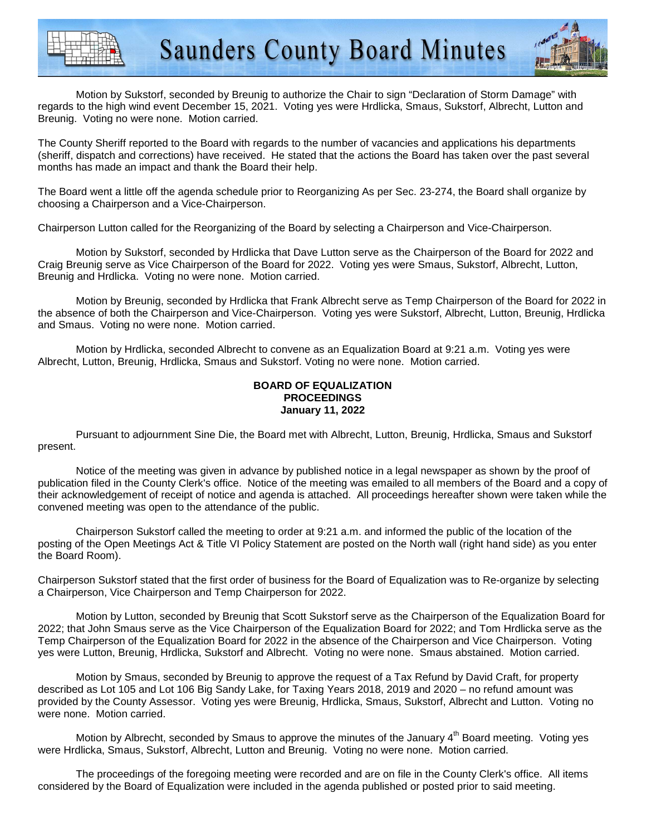



Motion by Sukstorf, seconded by Breunig to authorize the Chair to sign "Declaration of Storm Damage" with regards to the high wind event December 15, 2021. Voting yes were Hrdlicka, Smaus, Sukstorf, Albrecht, Lutton and Breunig. Voting no were none. Motion carried.

The County Sheriff reported to the Board with regards to the number of vacancies and applications his departments (sheriff, dispatch and corrections) have received. He stated that the actions the Board has taken over the past several months has made an impact and thank the Board their help.

The Board went a little off the agenda schedule prior to Reorganizing As per Sec. 23-274, the Board shall organize by choosing a Chairperson and a Vice-Chairperson.

Chairperson Lutton called for the Reorganizing of the Board by selecting a Chairperson and Vice-Chairperson.

 Motion by Sukstorf, seconded by Hrdlicka that Dave Lutton serve as the Chairperson of the Board for 2022 and Craig Breunig serve as Vice Chairperson of the Board for 2022. Voting yes were Smaus, Sukstorf, Albrecht, Lutton, Breunig and Hrdlicka. Voting no were none. Motion carried.

 Motion by Breunig, seconded by Hrdlicka that Frank Albrecht serve as Temp Chairperson of the Board for 2022 in the absence of both the Chairperson and Vice-Chairperson. Voting yes were Sukstorf, Albrecht, Lutton, Breunig, Hrdlicka and Smaus. Voting no were none. Motion carried.

 Motion by Hrdlicka, seconded Albrecht to convene as an Equalization Board at 9:21 a.m. Voting yes were Albrecht, Lutton, Breunig, Hrdlicka, Smaus and Sukstorf. Voting no were none. Motion carried.

### **BOARD OF EQUALIZATION PROCEEDINGS January 11, 2022**

 Pursuant to adjournment Sine Die, the Board met with Albrecht, Lutton, Breunig, Hrdlicka, Smaus and Sukstorf present.

 Notice of the meeting was given in advance by published notice in a legal newspaper as shown by the proof of publication filed in the County Clerk's office. Notice of the meeting was emailed to all members of the Board and a copy of their acknowledgement of receipt of notice and agenda is attached. All proceedings hereafter shown were taken while the convened meeting was open to the attendance of the public.

 Chairperson Sukstorf called the meeting to order at 9:21 a.m. and informed the public of the location of the posting of the Open Meetings Act & Title VI Policy Statement are posted on the North wall (right hand side) as you enter the Board Room).

Chairperson Sukstorf stated that the first order of business for the Board of Equalization was to Re-organize by selecting a Chairperson, Vice Chairperson and Temp Chairperson for 2022.

 Motion by Lutton, seconded by Breunig that Scott Sukstorf serve as the Chairperson of the Equalization Board for 2022; that John Smaus serve as the Vice Chairperson of the Equalization Board for 2022; and Tom Hrdlicka serve as the Temp Chairperson of the Equalization Board for 2022 in the absence of the Chairperson and Vice Chairperson. Voting yes were Lutton, Breunig, Hrdlicka, Sukstorf and Albrecht. Voting no were none. Smaus abstained. Motion carried.

Motion by Smaus, seconded by Breunig to approve the request of a Tax Refund by David Craft, for property described as Lot 105 and Lot 106 Big Sandy Lake, for Taxing Years 2018, 2019 and 2020 – no refund amount was provided by the County Assessor. Voting yes were Breunig, Hrdlicka, Smaus, Sukstorf, Albrecht and Lutton. Voting no were none. Motion carried.

Motion by Albrecht, seconded by Smaus to approve the minutes of the January 4<sup>th</sup> Board meeting. Voting yes were Hrdlicka, Smaus, Sukstorf, Albrecht, Lutton and Breunig. Voting no were none. Motion carried.

 The proceedings of the foregoing meeting were recorded and are on file in the County Clerk's office. All items considered by the Board of Equalization were included in the agenda published or posted prior to said meeting.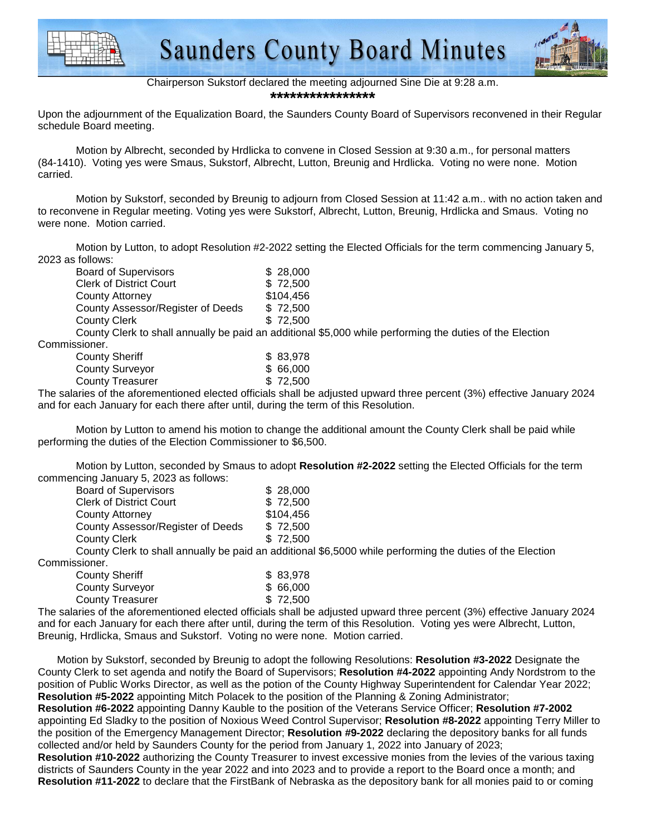



Chairperson Sukstorf declared the meeting adjourned Sine Die at 9:28 a.m. **\*\*\*\*\*\*\*\*\*\*\*\*\*\*\*\***

Upon the adjournment of the Equalization Board, the Saunders County Board of Supervisors reconvened in their Regular schedule Board meeting.

 Motion by Albrecht, seconded by Hrdlicka to convene in Closed Session at 9:30 a.m., for personal matters (84-1410). Voting yes were Smaus, Sukstorf, Albrecht, Lutton, Breunig and Hrdlicka. Voting no were none. Motion carried.

 Motion by Sukstorf, seconded by Breunig to adjourn from Closed Session at 11:42 a.m.. with no action taken and to reconvene in Regular meeting. Voting yes were Sukstorf, Albrecht, Lutton, Breunig, Hrdlicka and Smaus. Voting no were none. Motion carried.

 Motion by Lutton, to adopt Resolution #2-2022 setting the Elected Officials for the term commencing January 5, 2023 as follows:

| <b>Board of Supervisors</b>                                                                                                                             | \$28,000  |
|---------------------------------------------------------------------------------------------------------------------------------------------------------|-----------|
| <b>Clerk of District Court</b>                                                                                                                          | \$72,500  |
| <b>County Attorney</b>                                                                                                                                  | \$104,456 |
| County Assessor/Register of Deeds                                                                                                                       | \$72,500  |
| <b>County Clerk</b>                                                                                                                                     | \$72,500  |
| $\bigcap_{i=1}^n A_i$ and $\bigcap_{i=1}^n A_i$ and $\bigcap_{i=1}^n A_i$ and $\bigcap_{i=1}^n A_i$ and $\bigcap_{i=1}^n A_i$ and $\bigcap_{i=1}^n A_i$ |           |

County Clerk to shall annually be paid an additional \$5,000 while performing the duties of the Election Commissioner.

| <b>County Sheriff</b>   | \$83,978  |
|-------------------------|-----------|
| <b>County Surveyor</b>  | \$ 66,000 |
| <b>County Treasurer</b> | \$72,500  |
|                         |           |

The salaries of the aforementioned elected officials shall be adjusted upward three percent (3%) effective January 2024 and for each January for each there after until, during the term of this Resolution.

 Motion by Lutton to amend his motion to change the additional amount the County Clerk shall be paid while performing the duties of the Election Commissioner to \$6,500.

 Motion by Lutton, seconded by Smaus to adopt **Resolution #2-2022** setting the Elected Officials for the term commencing January 5, 2023 as follows:

| <b>Board of Supervisors</b>       | \$28,000                                                                                                  |
|-----------------------------------|-----------------------------------------------------------------------------------------------------------|
| <b>Clerk of District Court</b>    | \$72,500                                                                                                  |
| County Attorney                   | \$104,456                                                                                                 |
| County Assessor/Register of Deeds | \$72,500                                                                                                  |
| County Clerk                      | \$72.500                                                                                                  |
|                                   | County Clerk to shall annually be paid an additional \$6,5000 while performing the duties of the Election |

Commissioner.

| <b>County Sheriff</b>   |  |  | \$83,978 |
|-------------------------|--|--|----------|
| <b>County Surveyor</b>  |  |  | \$66,000 |
| <b>County Treasurer</b> |  |  | \$72,500 |
|                         |  |  |          |

The salaries of the aforementioned elected officials shall be adjusted upward three percent (3%) effective January 2024 and for each January for each there after until, during the term of this Resolution. Voting yes were Albrecht, Lutton, Breunig, Hrdlicka, Smaus and Sukstorf. Voting no were none. Motion carried.

Motion by Sukstorf, seconded by Breunig to adopt the following Resolutions: **Resolution #3-2022** Designate the County Clerk to set agenda and notify the Board of Supervisors; **Resolution #4-2022** appointing Andy Nordstrom to the position of Public Works Director, as well as the potion of the County Highway Superintendent for Calendar Year 2022; **Resolution #5-2022** appointing Mitch Polacek to the position of the Planning & Zoning Administrator; **Resolution #6-2022** appointing Danny Kauble to the position of the Veterans Service Officer; **Resolution #7-2002**  appointing Ed Sladky to the position of Noxious Weed Control Supervisor; **Resolution #8-2022** appointing Terry Miller to the position of the Emergency Management Director; **Resolution #9-2022** declaring the depository banks for all funds collected and/or held by Saunders County for the period from January 1, 2022 into January of 2023; **Resolution #10-2022** authorizing the County Treasurer to invest excessive monies from the levies of the various taxing districts of Saunders County in the year 2022 and into 2023 and to provide a report to the Board once a month; and **Resolution #11-2022** to declare that the FirstBank of Nebraska as the depository bank for all monies paid to or coming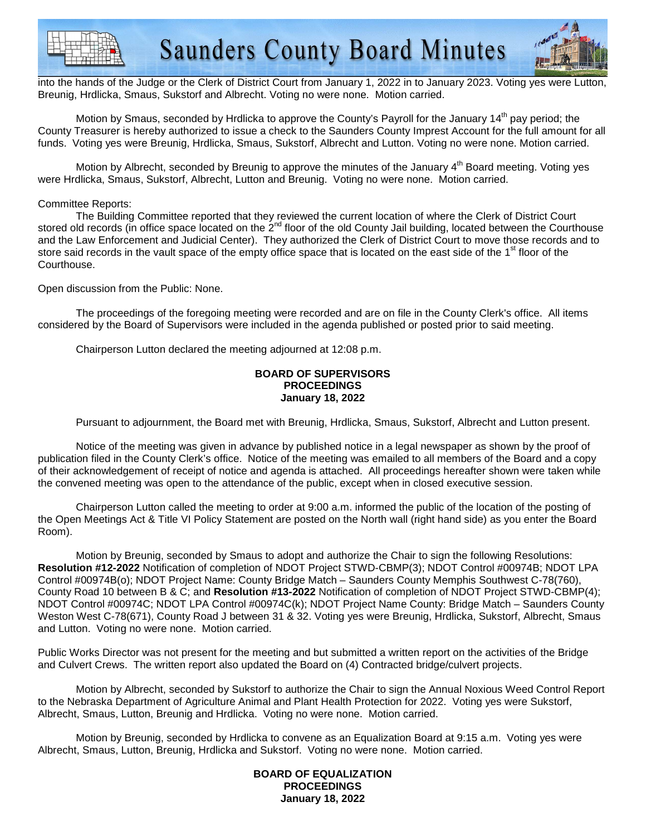



into the hands of the Judge or the Clerk of District Court from January 1, 2022 in to January 2023. Voting yes were Lutton, Breunig, Hrdlicka, Smaus, Sukstorf and Albrecht. Voting no were none. Motion carried.

Motion by Smaus, seconded by Hrdlicka to approve the County's Payroll for the January 14<sup>th</sup> pay period; the County Treasurer is hereby authorized to issue a check to the Saunders County Imprest Account for the full amount for all funds. Voting yes were Breunig, Hrdlicka, Smaus, Sukstorf, Albrecht and Lutton. Voting no were none. Motion carried.

Motion by Albrecht, seconded by Breunig to approve the minutes of the January 4<sup>th</sup> Board meeting. Voting yes were Hrdlicka, Smaus, Sukstorf, Albrecht, Lutton and Breunig. Voting no were none. Motion carried.

### Committee Reports:

 The Building Committee reported that they reviewed the current location of where the Clerk of District Court stored old records (in office space located on the 2<sup>nd</sup> floor of the old County Jail building, located between the Courthouse and the Law Enforcement and Judicial Center). They authorized the Clerk of District Court to move those records and to store said records in the vault space of the empty office space that is located on the east side of the 1<sup>st</sup> floor of the Courthouse.

Open discussion from the Public: None.

The proceedings of the foregoing meeting were recorded and are on file in the County Clerk's office. All items considered by the Board of Supervisors were included in the agenda published or posted prior to said meeting.

Chairperson Lutton declared the meeting adjourned at 12:08 p.m.

#### **BOARD OF SUPERVISORS PROCEEDINGS January 18, 2022**

Pursuant to adjournment, the Board met with Breunig, Hrdlicka, Smaus, Sukstorf, Albrecht and Lutton present.

 Notice of the meeting was given in advance by published notice in a legal newspaper as shown by the proof of publication filed in the County Clerk's office. Notice of the meeting was emailed to all members of the Board and a copy of their acknowledgement of receipt of notice and agenda is attached. All proceedings hereafter shown were taken while the convened meeting was open to the attendance of the public, except when in closed executive session.

 Chairperson Lutton called the meeting to order at 9:00 a.m. informed the public of the location of the posting of the Open Meetings Act & Title VI Policy Statement are posted on the North wall (right hand side) as you enter the Board Room).

 Motion by Breunig, seconded by Smaus to adopt and authorize the Chair to sign the following Resolutions: **Resolution #12-2022** Notification of completion of NDOT Project STWD-CBMP(3); NDOT Control #00974B; NDOT LPA Control #00974B(o); NDOT Project Name: County Bridge Match – Saunders County Memphis Southwest C-78(760), County Road 10 between B & C; and **Resolution #13-2022** Notification of completion of NDOT Project STWD-CBMP(4); NDOT Control #00974C; NDOT LPA Control #00974C(k); NDOT Project Name County: Bridge Match – Saunders County Weston West C-78(671), County Road J between 31 & 32. Voting yes were Breunig, Hrdlicka, Sukstorf, Albrecht, Smaus and Lutton. Voting no were none. Motion carried.

Public Works Director was not present for the meeting and but submitted a written report on the activities of the Bridge and Culvert Crews. The written report also updated the Board on (4) Contracted bridge/culvert projects.

 Motion by Albrecht, seconded by Sukstorf to authorize the Chair to sign the Annual Noxious Weed Control Report to the Nebraska Department of Agriculture Animal and Plant Health Protection for 2022. Voting yes were Sukstorf, Albrecht, Smaus, Lutton, Breunig and Hrdlicka. Voting no were none. Motion carried.

 Motion by Breunig, seconded by Hrdlicka to convene as an Equalization Board at 9:15 a.m. Voting yes were Albrecht, Smaus, Lutton, Breunig, Hrdlicka and Sukstorf. Voting no were none. Motion carried.

#### **BOARD OF EQUALIZATION PROCEEDINGS January 18, 2022**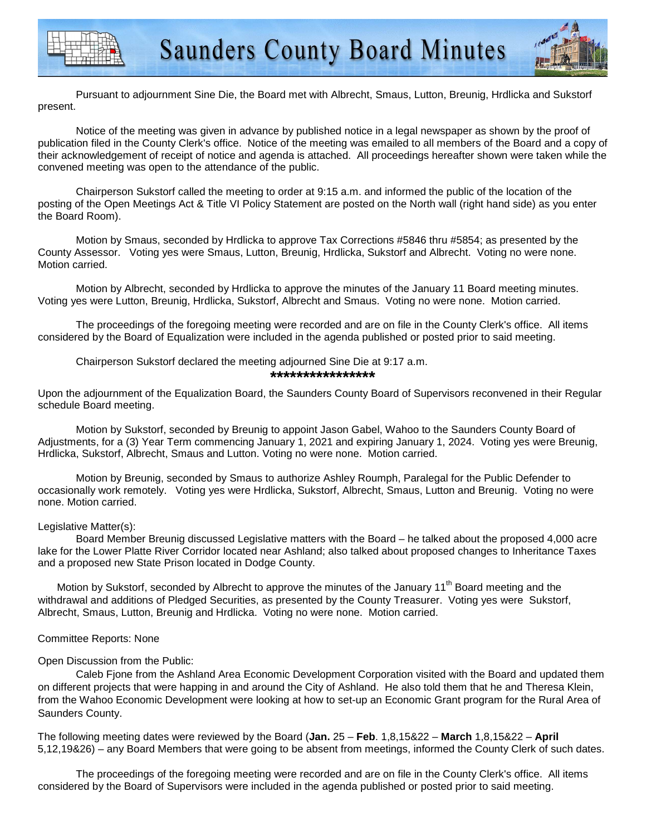



 Pursuant to adjournment Sine Die, the Board met with Albrecht, Smaus, Lutton, Breunig, Hrdlicka and Sukstorf present.

 Notice of the meeting was given in advance by published notice in a legal newspaper as shown by the proof of publication filed in the County Clerk's office. Notice of the meeting was emailed to all members of the Board and a copy of their acknowledgement of receipt of notice and agenda is attached. All proceedings hereafter shown were taken while the convened meeting was open to the attendance of the public.

 Chairperson Sukstorf called the meeting to order at 9:15 a.m. and informed the public of the location of the posting of the Open Meetings Act & Title VI Policy Statement are posted on the North wall (right hand side) as you enter the Board Room).

 Motion by Smaus, seconded by Hrdlicka to approve Tax Corrections #5846 thru #5854; as presented by the County Assessor. Voting yes were Smaus, Lutton, Breunig, Hrdlicka, Sukstorf and Albrecht. Voting no were none. Motion carried.

 Motion by Albrecht, seconded by Hrdlicka to approve the minutes of the January 11 Board meeting minutes. Voting yes were Lutton, Breunig, Hrdlicka, Sukstorf, Albrecht and Smaus. Voting no were none. Motion carried.

 The proceedings of the foregoing meeting were recorded and are on file in the County Clerk's office. All items considered by the Board of Equalization were included in the agenda published or posted prior to said meeting.

Chairperson Sukstorf declared the meeting adjourned Sine Die at 9:17 a.m.

#### **\*\*\*\*\*\*\*\*\*\*\*\*\*\*\*\***

Upon the adjournment of the Equalization Board, the Saunders County Board of Supervisors reconvened in their Regular schedule Board meeting.

 Motion by Sukstorf, seconded by Breunig to appoint Jason Gabel, Wahoo to the Saunders County Board of Adjustments, for a (3) Year Term commencing January 1, 2021 and expiring January 1, 2024. Voting yes were Breunig, Hrdlicka, Sukstorf, Albrecht, Smaus and Lutton. Voting no were none. Motion carried.

Motion by Breunig, seconded by Smaus to authorize Ashley Roumph, Paralegal for the Public Defender to occasionally work remotely. Voting yes were Hrdlicka, Sukstorf, Albrecht, Smaus, Lutton and Breunig. Voting no were none. Motion carried.

### Legislative Matter(s):

 Board Member Breunig discussed Legislative matters with the Board – he talked about the proposed 4,000 acre lake for the Lower Platte River Corridor located near Ashland; also talked about proposed changes to Inheritance Taxes and a proposed new State Prison located in Dodge County.

Motion by Sukstorf, seconded by Albrecht to approve the minutes of the January 11<sup>th</sup> Board meeting and the withdrawal and additions of Pledged Securities, as presented by the County Treasurer. Voting yes were Sukstorf, Albrecht, Smaus, Lutton, Breunig and Hrdlicka. Voting no were none. Motion carried.

# Committee Reports: None

# Open Discussion from the Public:

Caleb Fjone from the Ashland Area Economic Development Corporation visited with the Board and updated them on different projects that were happing in and around the City of Ashland. He also told them that he and Theresa Klein, from the Wahoo Economic Development were looking at how to set-up an Economic Grant program for the Rural Area of Saunders County.

The following meeting dates were reviewed by the Board (**Jan.** 25 – **Feb**. 1,8,15&22 – **March** 1,8,15&22 – **April** 5,12,19&26) – any Board Members that were going to be absent from meetings, informed the County Clerk of such dates.

 The proceedings of the foregoing meeting were recorded and are on file in the County Clerk's office. All items considered by the Board of Supervisors were included in the agenda published or posted prior to said meeting.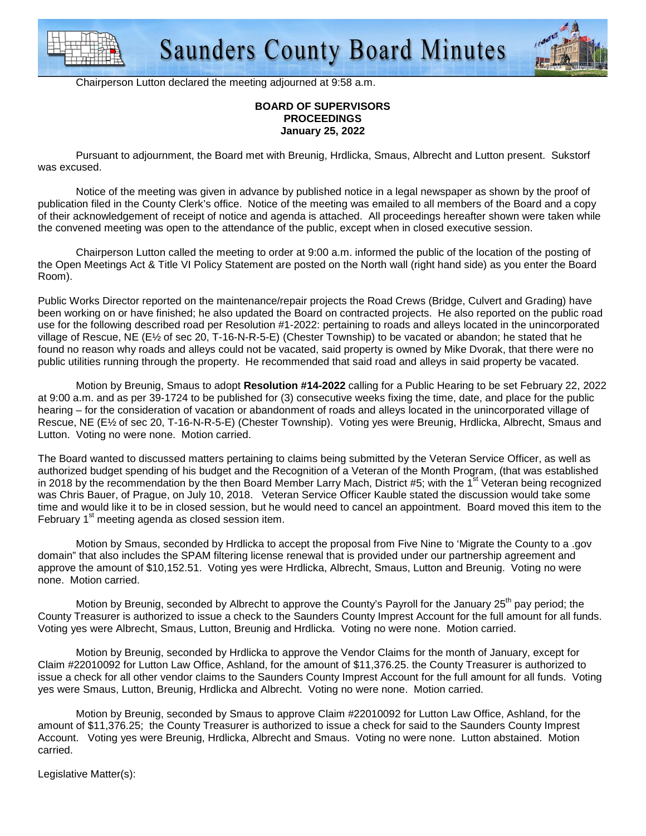



Chairperson Lutton declared the meeting adjourned at 9:58 a.m.

#### **BOARD OF SUPERVISORS PROCEEDINGS January 25, 2022**

 Pursuant to adjournment, the Board met with Breunig, Hrdlicka, Smaus, Albrecht and Lutton present. Sukstorf was excused.

 Notice of the meeting was given in advance by published notice in a legal newspaper as shown by the proof of publication filed in the County Clerk's office. Notice of the meeting was emailed to all members of the Board and a copy of their acknowledgement of receipt of notice and agenda is attached. All proceedings hereafter shown were taken while the convened meeting was open to the attendance of the public, except when in closed executive session.

 Chairperson Lutton called the meeting to order at 9:00 a.m. informed the public of the location of the posting of the Open Meetings Act & Title VI Policy Statement are posted on the North wall (right hand side) as you enter the Board Room).

Public Works Director reported on the maintenance/repair projects the Road Crews (Bridge, Culvert and Grading) have been working on or have finished; he also updated the Board on contracted projects. He also reported on the public road use for the following described road per Resolution #1-2022: pertaining to roads and alleys located in the unincorporated village of Rescue, NE (E½ of sec 20, T-16-N-R-5-E) (Chester Township) to be vacated or abandon; he stated that he found no reason why roads and alleys could not be vacated, said property is owned by Mike Dvorak, that there were no public utilities running through the property. He recommended that said road and alleys in said property be vacated.

 Motion by Breunig, Smaus to adopt **Resolution #14-2022** calling for a Public Hearing to be set February 22, 2022 at 9:00 a.m. and as per 39-1724 to be published for (3) consecutive weeks fixing the time, date, and place for the public hearing – for the consideration of vacation or abandonment of roads and alleys located in the unincorporated village of Rescue, NE (E½ of sec 20, T-16-N-R-5-E) (Chester Township). Voting yes were Breunig, Hrdlicka, Albrecht, Smaus and Lutton. Voting no were none. Motion carried.

The Board wanted to discussed matters pertaining to claims being submitted by the Veteran Service Officer, as well as authorized budget spending of his budget and the Recognition of a Veteran of the Month Program, (that was established in 2018 by the recommendation by the then Board Member Larry Mach, District #5; with the  $1<sup>st</sup>$  Veteran being recognized was Chris Bauer, of Prague, on July 10, 2018. Veteran Service Officer Kauble stated the discussion would take some time and would like it to be in closed session, but he would need to cancel an appointment. Board moved this item to the February 1<sup>st</sup> meeting agenda as closed session item.

Motion by Smaus, seconded by Hrdlicka to accept the proposal from Five Nine to 'Migrate the County to a .gov domain" that also includes the SPAM filtering license renewal that is provided under our partnership agreement and approve the amount of \$10,152.51. Voting yes were Hrdlicka, Albrecht, Smaus, Lutton and Breunig. Voting no were none. Motion carried.

Motion by Breunig, seconded by Albrecht to approve the County's Payroll for the January 25<sup>th</sup> pay period; the County Treasurer is authorized to issue a check to the Saunders County Imprest Account for the full amount for all funds. Voting yes were Albrecht, Smaus, Lutton, Breunig and Hrdlicka. Voting no were none. Motion carried.

Motion by Breunig, seconded by Hrdlicka to approve the Vendor Claims for the month of January, except for Claim #22010092 for Lutton Law Office, Ashland, for the amount of \$11,376.25. the County Treasurer is authorized to issue a check for all other vendor claims to the Saunders County Imprest Account for the full amount for all funds. Voting yes were Smaus, Lutton, Breunig, Hrdlicka and Albrecht. Voting no were none. Motion carried.

Motion by Breunig, seconded by Smaus to approve Claim #22010092 for Lutton Law Office, Ashland, for the amount of \$11,376.25; the County Treasurer is authorized to issue a check for said to the Saunders County Imprest Account. Voting yes were Breunig, Hrdlicka, Albrecht and Smaus. Voting no were none. Lutton abstained. Motion carried.

Legislative Matter(s):